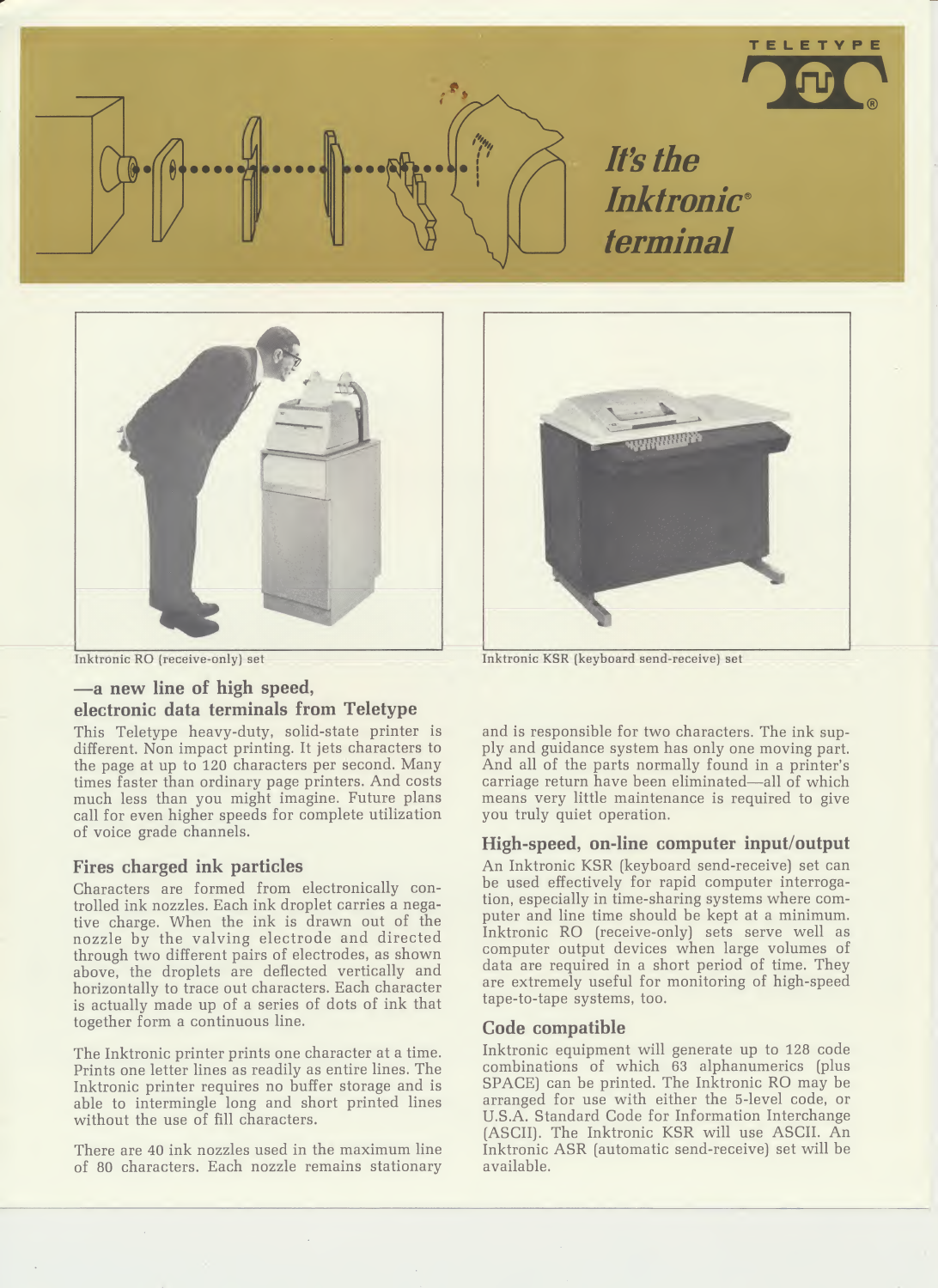





TELETYPE

Inktronic RO (receive-only) set

# —a new line of high speed, electronic data terminals from Teletype

This Teletype heavy-duty, solid-state printer is different. Non impact printing. It jets characters to the page at up to 120 characters per second. Many times faster than ordinary page printers. And costs much less than you might imagine. Future plans call for even higher speeds for complete utilization of voice grade channels.

# Fires charged ink particles

Characters are formed from electronically controlled ink nozzles. Each ink droplet carries a negative charge. When the ink is drawn out of the nozzle by the valving electrode and directed through two different pairs of electrodes, as shown above, the droplets are deflected vertically and horizontally to trace out characters. Each character is actually made up of a series of dots of ink that together form a continuous line.

The Inktronic printer prints one character at a time. Prints one letter lines as readily as entire lines. The Inktronic printer requires no buffer storage and is able to intermingle long and short printed lines without the use of fill characters.

There are 40 ink nozzles used in the maximum line of 80 characters. Each nozzle remains stationary

Inktronic KSR (keyboard send-receive) set

and is responsible for two characters. The ink supply and guidance system has only one moving part. And all of the parts normally found in a printer's carriage return have been eliminated—all of which means very little maintenance is required to give you truly quiet operation.

# High-speed, on-line computer input/output

An Inktronic KSR (keyboard send-receive) set can be used effectively for rapid computer interrogation, especially in time-sharing systems where com puter and line time should be kept at a minimum. Inktronic RO (receive-only) sets serve well as computer output devices when large volumes of data are required in a short period of time. They are extremely useful for monitoring of high-speed tape-to-tape systems, too.

## Code compatible

Inktronic equipment will generate up to 128 code combinations of which 63 alphanumerics (plus SPACE) can be printed. The Inktronic RO may be arranged for use with either the 5-level code, or U.S.A. Standard Code for Information Interchange (ASCII). The Inktronic KSR will use ASCII. An Inktronic ASR (automatic send-receive) set will be available.